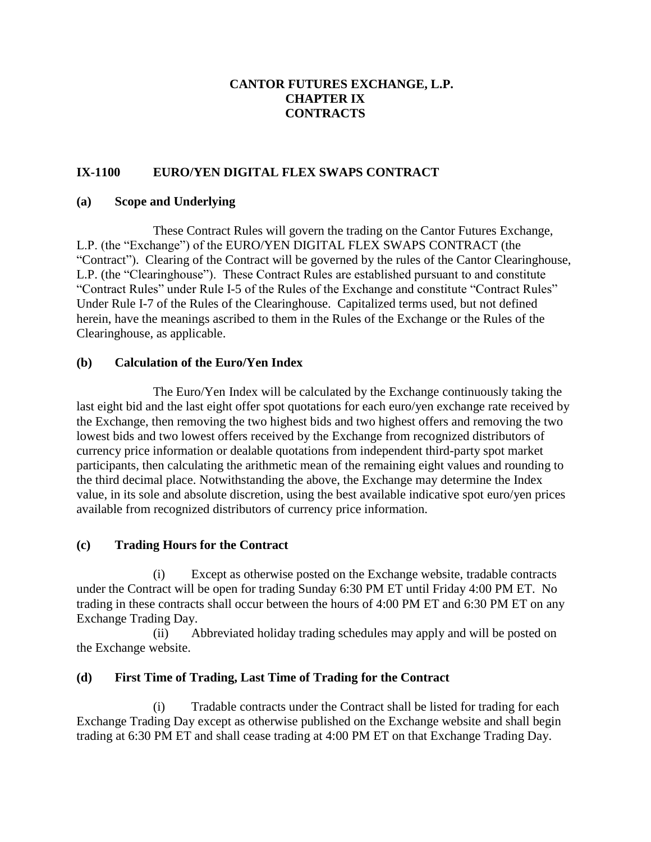## **CANTOR FUTURES EXCHANGE, L.P. CHAPTER IX CONTRACTS**

# **IX-1100 EURO/YEN DIGITAL FLEX SWAPS CONTRACT**

#### **(a) Scope and Underlying**

These Contract Rules will govern the trading on the Cantor Futures Exchange, L.P. (the "Exchange") of the EURO/YEN DIGITAL FLEX SWAPS CONTRACT (the "Contract"). Clearing of the Contract will be governed by the rules of the Cantor Clearinghouse, L.P. (the "Clearinghouse"). These Contract Rules are established pursuant to and constitute "Contract Rules" under Rule I-5 of the Rules of the Exchange and constitute "Contract Rules" Under Rule I-7 of the Rules of the Clearinghouse. Capitalized terms used, but not defined herein, have the meanings ascribed to them in the Rules of the Exchange or the Rules of the Clearinghouse, as applicable.

#### **(b) Calculation of the Euro/Yen Index**

The Euro/Yen Index will be calculated by the Exchange continuously taking the last eight bid and the last eight offer spot quotations for each euro/yen exchange rate received by the Exchange, then removing the two highest bids and two highest offers and removing the two lowest bids and two lowest offers received by the Exchange from recognized distributors of currency price information or dealable quotations from independent third-party spot market participants, then calculating the arithmetic mean of the remaining eight values and rounding to the third decimal place. Notwithstanding the above, the Exchange may determine the Index value, in its sole and absolute discretion, using the best available indicative spot euro/yen prices available from recognized distributors of currency price information.

### **(c) Trading Hours for the Contract**

(i) Except as otherwise posted on the Exchange website, tradable contracts under the Contract will be open for trading Sunday 6:30 PM ET until Friday 4:00 PM ET. No trading in these contracts shall occur between the hours of 4:00 PM ET and 6:30 PM ET on any Exchange Trading Day.

(ii) Abbreviated holiday trading schedules may apply and will be posted on the Exchange website.

### **(d) First Time of Trading, Last Time of Trading for the Contract**

(i) Tradable contracts under the Contract shall be listed for trading for each Exchange Trading Day except as otherwise published on the Exchange website and shall begin trading at 6:30 PM ET and shall cease trading at 4:00 PM ET on that Exchange Trading Day.